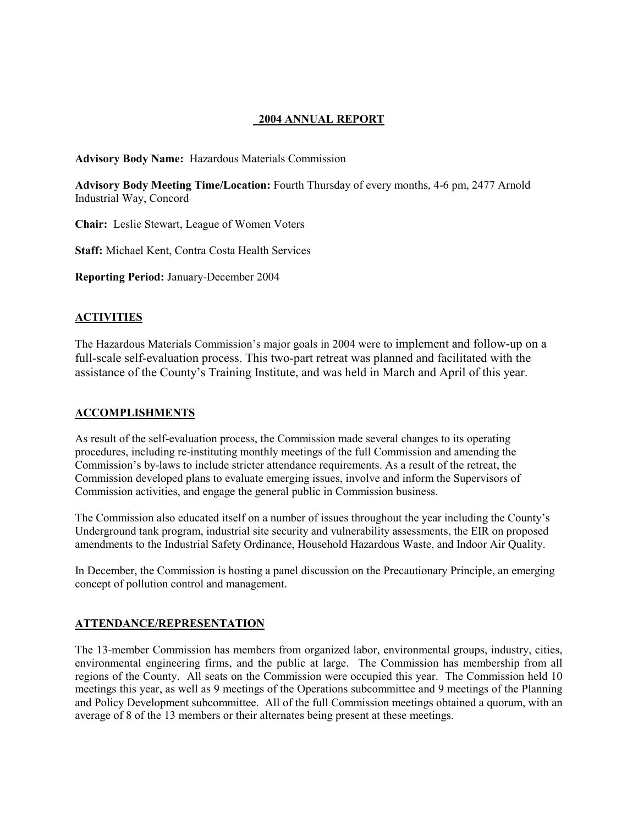# 2004 ANNUAL REPORT

Advisory Body Name: Hazardous Materials Commission

Advisory Body Meeting Time/Location: Fourth Thursday of every months, 4-6 pm, 2477 Arnold Industrial Way, Concord

Chair: Leslie Stewart, League of Women Voters

Staff: Michael Kent, Contra Costa Health Services

Reporting Period: January-December 2004

## **ACTIVITIES**

The Hazardous Materials Commission's major goals in 2004 were to implement and follow-up on a full-scale self-evaluation process. This two-part retreat was planned and facilitated with the assistance of the County's Training Institute, and was held in March and April of this year.

#### ACCOMPLISHMENTS

As result of the self-evaluation process, the Commission made several changes to its operating procedures, including re-instituting monthly meetings of the full Commission and amending the Commission's by-laws to include stricter attendance requirements. As a result of the retreat, the Commission developed plans to evaluate emerging issues, involve and inform the Supervisors of Commission activities, and engage the general public in Commission business.

The Commission also educated itself on a number of issues throughout the year including the County's Underground tank program, industrial site security and vulnerability assessments, the EIR on proposed amendments to the Industrial Safety Ordinance, Household Hazardous Waste, and Indoor Air Quality.

In December, the Commission is hosting a panel discussion on the Precautionary Principle, an emerging concept of pollution control and management.

#### ATTENDANCE/REPRESENTATION

The 13-member Commission has members from organized labor, environmental groups, industry, cities, environmental engineering firms, and the public at large. The Commission has membership from all regions of the County. All seats on the Commission were occupied this year. The Commission held 10 meetings this year, as well as 9 meetings of the Operations subcommittee and 9 meetings of the Planning and Policy Development subcommittee. All of the full Commission meetings obtained a quorum, with an average of 8 of the 13 members or their alternates being present at these meetings.